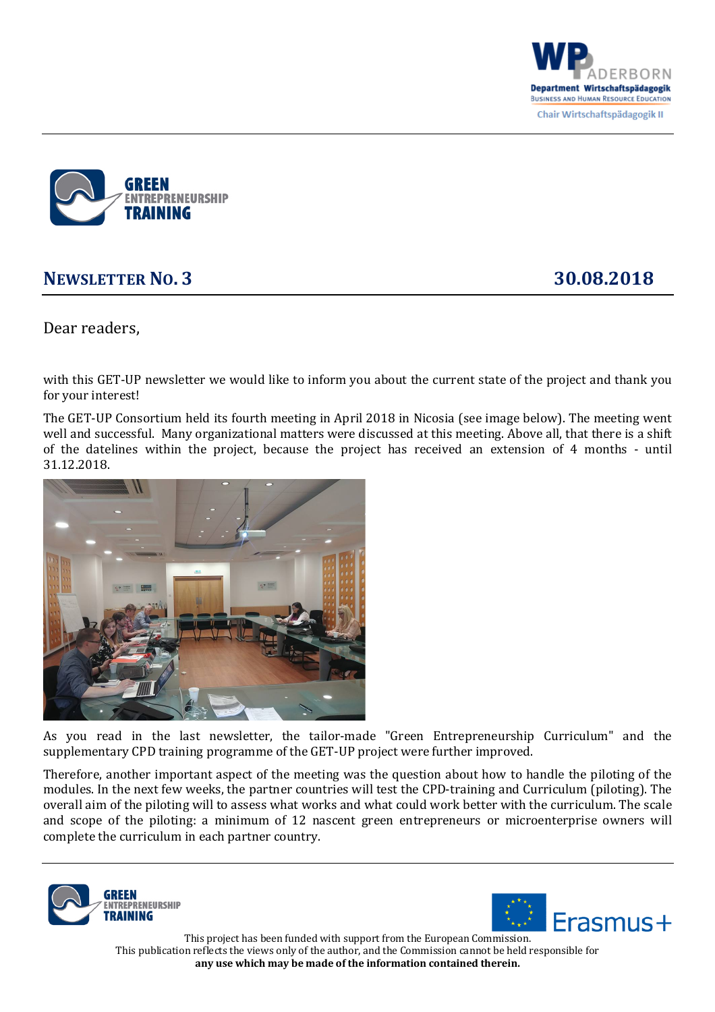



## **NEWSLETTER NO. 3 30.08.2018**

Dear readers,

with this GET-UP newsletter we would like to inform you about the current state of the project and thank you for your interest!

The GET-UP Consortium held its fourth meeting in April 2018 in Nicosia (see image below). The meeting went well and successful. Many organizational matters were discussed at this meeting. Above all, that there is a shift of the datelines within the project, because the project has received an extension of  $4$  months - until 31.12.2018. 



As you read in the last newsletter, the tailor-made "Green Entrepreneurship Curriculum" and the supplementary CPD training programme of the GET-UP project were further improved.

Therefore, another important aspect of the meeting was the question about how to handle the piloting of the modules. In the next few weeks, the partner countries will test the CPD-training and Curriculum (piloting). The overall aim of the piloting will to assess what works and what could work better with the curriculum. The scale and scope of the piloting: a minimum of 12 nascent green entrepreneurs or microenterprise owners will complete the curriculum in each partner country.





 This project has been funded with support from the European Commission. This publication reflects the views only of the author, and the Commission cannot be held responsible for any use which may be made of the information contained therein.